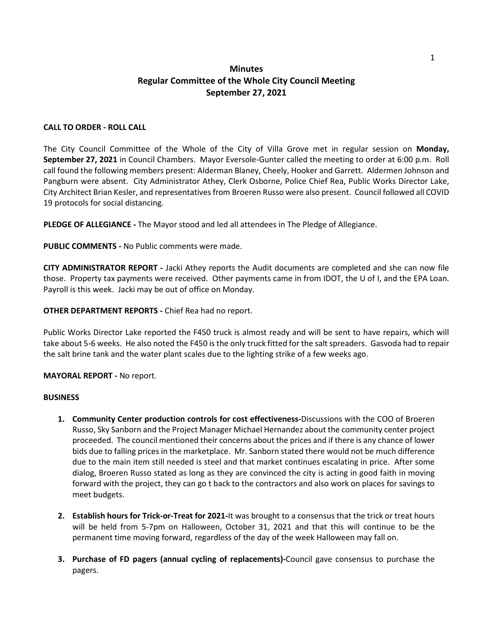## **Minutes Regular Committee of the Whole City Council Meeting September 27, 2021**

## **CALL TO ORDER - ROLL CALL**

The City Council Committee of the Whole of the City of Villa Grove met in regular session on **Monday, September 27, 2021** in Council Chambers. Mayor Eversole-Gunter called the meeting to order at 6:00 p.m. Roll call found the following members present: Alderman Blaney, Cheely, Hooker and Garrett. Aldermen Johnson and Pangburn were absent. City Administrator Athey, Clerk Osborne, Police Chief Rea, Public Works Director Lake, City Architect Brian Kesler, and representatives from Broeren Russo were also present. Council followed all COVID 19 protocols for social distancing.

**PLEDGE OF ALLEGIANCE -** The Mayor stood and led all attendees in The Pledge of Allegiance.

**PUBLIC COMMENTS -** No Public comments were made.

**CITY ADMINISTRATOR REPORT -** Jacki Athey reports the Audit documents are completed and she can now file those. Property tax payments were received. Other payments came in from IDOT, the U of I, and the EPA Loan. Payroll is this week. Jacki may be out of office on Monday.

**OTHER DEPARTMENT REPORTS -** Chief Rea had no report.

Public Works Director Lake reported the F450 truck is almost ready and will be sent to have repairs, which will take about 5-6 weeks. He also noted the F450 is the only truck fitted for the salt spreaders. Gasvoda had to repair the salt brine tank and the water plant scales due to the lighting strike of a few weeks ago.

**MAYORAL REPORT -** No report.

## **BUSINESS**

- **1. Community Center production controls for cost effectiveness-**Discussions with the COO of Broeren Russo, Sky Sanborn and the Project Manager Michael Hernandez about the community center project proceeded. The council mentioned their concerns about the prices and if there is any chance of lower bids due to falling prices in the marketplace. Mr. Sanborn stated there would not be much difference due to the main item still needed is steel and that market continues escalating in price. After some dialog, Broeren Russo stated as long as they are convinced the city is acting in good faith in moving forward with the project, they can go t back to the contractors and also work on places for savings to meet budgets.
- **2. Establish hours for Trick-or-Treat for 2021-**It was brought to a consensus that the trick or treat hours will be held from 5-7pm on Halloween, October 31, 2021 and that this will continue to be the permanent time moving forward, regardless of the day of the week Halloween may fall on.
- **3. Purchase of FD pagers (annual cycling of replacements)-**Council gave consensus to purchase the pagers.